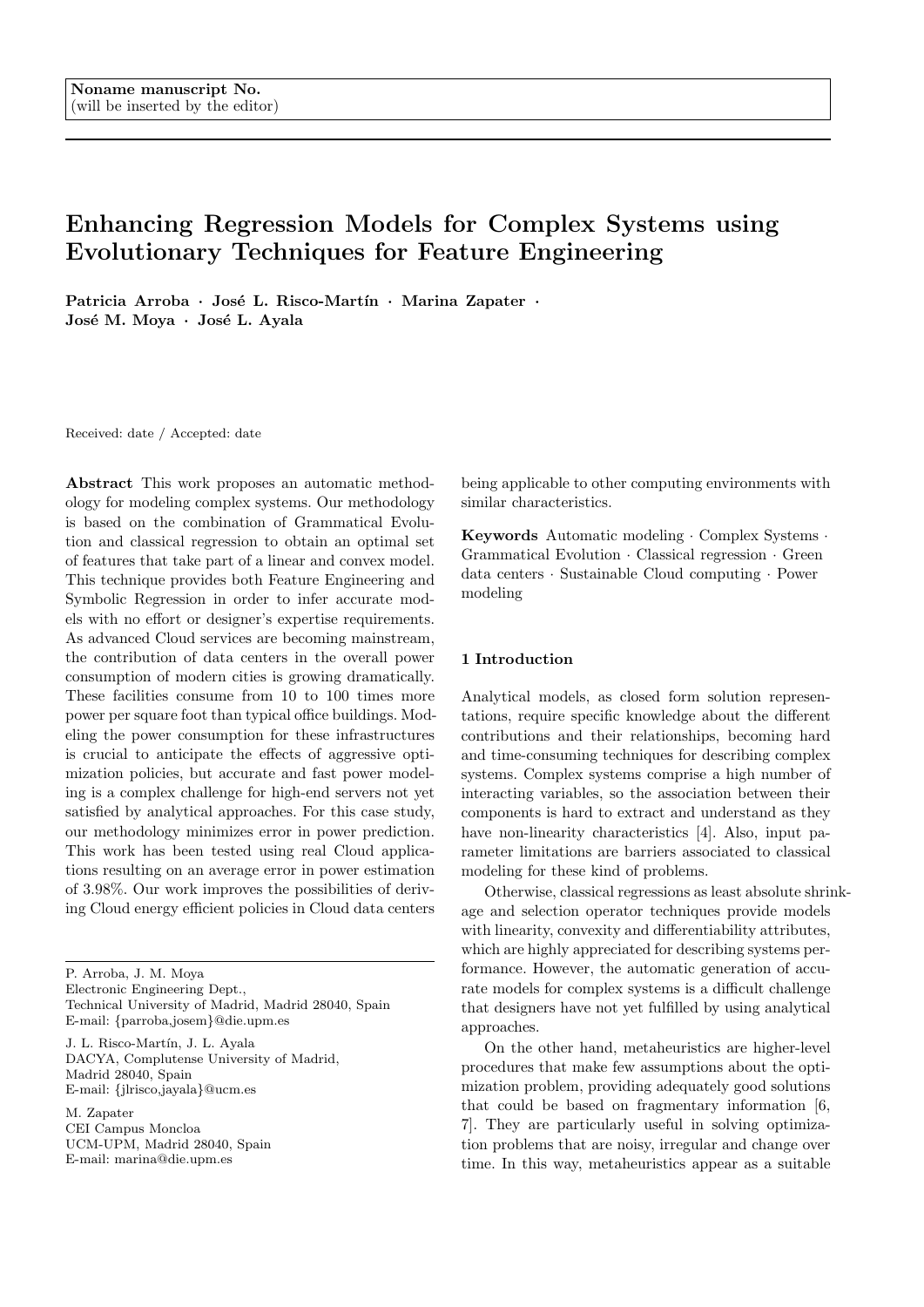# Enhancing Regression Models for Complex Systems using Evolutionary Techniques for Feature Engineering

Patricia Arroba · José L. Risco-Martín · Marina Zapater · José M. Moya · José L. Ayala

Received: date / Accepted: date

Abstract This work proposes an automatic methodology for modeling complex systems. Our methodology is based on the combination of Grammatical Evolution and classical regression to obtain an optimal set of features that take part of a linear and convex model. This technique provides both Feature Engineering and Symbolic Regression in order to infer accurate models with no effort or designer's expertise requirements. As advanced Cloud services are becoming mainstream, the contribution of data centers in the overall power consumption of modern cities is growing dramatically. These facilities consume from 10 to 100 times more power per square foot than typical office buildings. Modeling the power consumption for these infrastructures is crucial to anticipate the effects of aggressive optimization policies, but accurate and fast power modeling is a complex challenge for high-end servers not yet satisfied by analytical approaches. For this case study, our methodology minimizes error in power prediction. This work has been tested using real Cloud applications resulting on an average error in power estimation of 3.98%. Our work improves the possibilities of deriving Cloud energy efficient policies in Cloud data centers

P. Arroba, J. M. Moya

Electronic Engineering Dept.,

Technical University of Madrid, Madrid 28040, Spain E-mail: {parroba,josem}@die.upm.es

J. L. Risco-Martín, J. L. Ayala DACYA, Complutense University of Madrid, Madrid 28040, Spain E-mail: {jlrisco,jayala}@ucm.es

M. Zapater CEI Campus Moncloa UCM-UPM, Madrid 28040, Spain E-mail: marina@die.upm.es

being applicable to other computing environments with similar characteristics.

Keywords Automatic modeling · Complex Systems · Grammatical Evolution · Classical regression · Green data centers · Sustainable Cloud computing · Power modeling

# 1 Introduction

Analytical models, as closed form solution representations, require specific knowledge about the different contributions and their relationships, becoming hard and time-consuming techniques for describing complex systems. Complex systems comprise a high number of interacting variables, so the association between their components is hard to extract and understand as they have non-linearity characteristics [4]. Also, input parameter limitations are barriers associated to classical modeling for these kind of problems.

Otherwise, classical regressions as least absolute shrinkage and selection operator techniques provide models with linearity, convexity and differentiability attributes, which are highly appreciated for describing systems performance. However, the automatic generation of accurate models for complex systems is a difficult challenge that designers have not yet fulfilled by using analytical approaches.

On the other hand, metaheuristics are higher-level procedures that make few assumptions about the optimization problem, providing adequately good solutions that could be based on fragmentary information [6, 7]. They are particularly useful in solving optimization problems that are noisy, irregular and change over time. In this way, metaheuristics appear as a suitable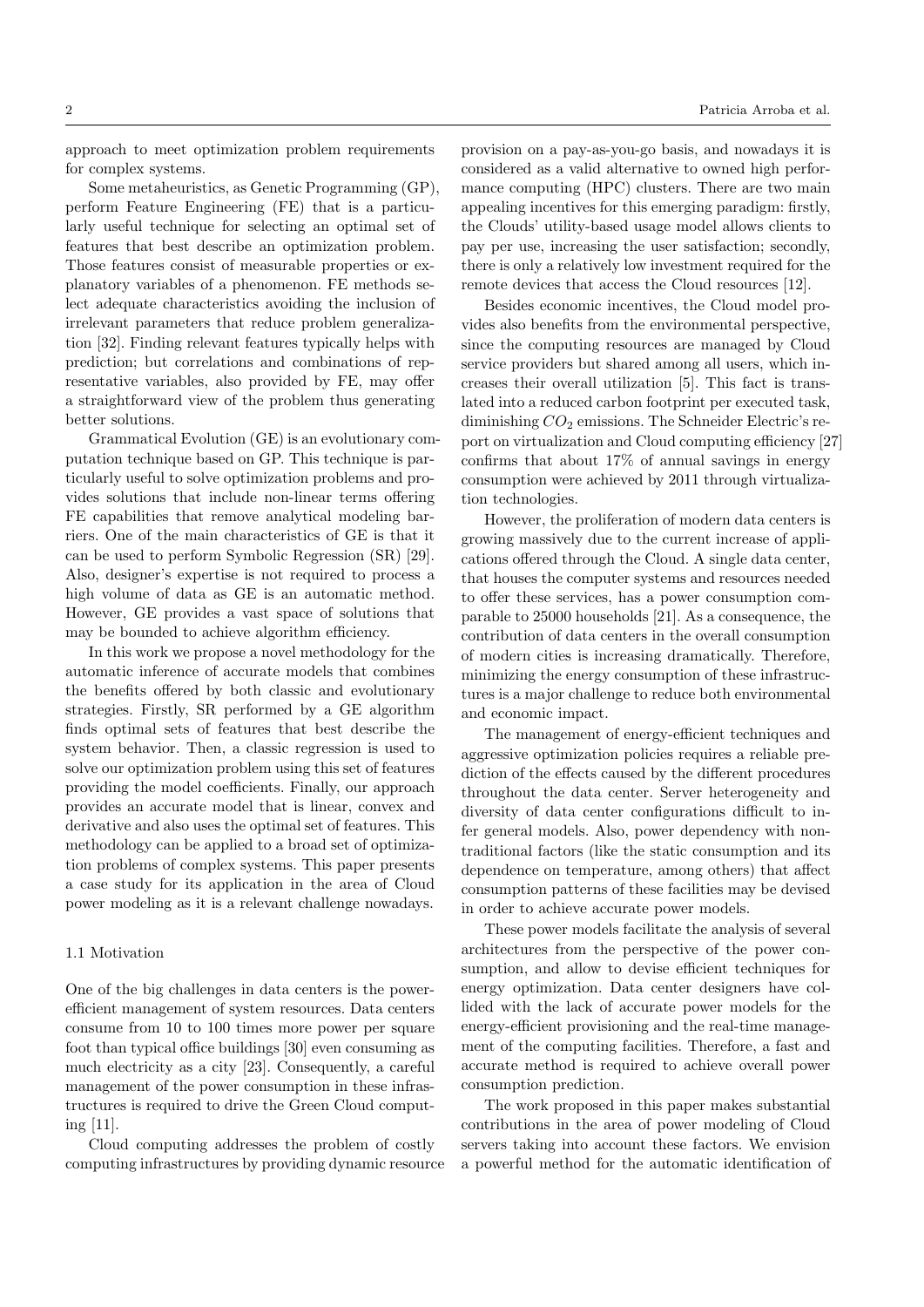approach to meet optimization problem requirements for complex systems.

Some metaheuristics, as Genetic Programming (GP), perform Feature Engineering (FE) that is a particularly useful technique for selecting an optimal set of features that best describe an optimization problem. Those features consist of measurable properties or explanatory variables of a phenomenon. FE methods select adequate characteristics avoiding the inclusion of irrelevant parameters that reduce problem generalization [32]. Finding relevant features typically helps with prediction; but correlations and combinations of representative variables, also provided by FE, may offer a straightforward view of the problem thus generating better solutions.

Grammatical Evolution (GE) is an evolutionary computation technique based on GP. This technique is particularly useful to solve optimization problems and provides solutions that include non-linear terms offering FE capabilities that remove analytical modeling barriers. One of the main characteristics of GE is that it can be used to perform Symbolic Regression (SR) [29]. Also, designer's expertise is not required to process a high volume of data as GE is an automatic method. However, GE provides a vast space of solutions that may be bounded to achieve algorithm efficiency.

In this work we propose a novel methodology for the automatic inference of accurate models that combines the benefits offered by both classic and evolutionary strategies. Firstly, SR performed by a GE algorithm finds optimal sets of features that best describe the system behavior. Then, a classic regression is used to solve our optimization problem using this set of features providing the model coefficients. Finally, our approach provides an accurate model that is linear, convex and derivative and also uses the optimal set of features. This methodology can be applied to a broad set of optimization problems of complex systems. This paper presents a case study for its application in the area of Cloud power modeling as it is a relevant challenge nowadays.

#### 1.1 Motivation

One of the big challenges in data centers is the powerefficient management of system resources. Data centers consume from 10 to 100 times more power per square foot than typical office buildings [30] even consuming as much electricity as a city [23]. Consequently, a careful management of the power consumption in these infrastructures is required to drive the Green Cloud computing [11].

Cloud computing addresses the problem of costly computing infrastructures by providing dynamic resource provision on a pay-as-you-go basis, and nowadays it is considered as a valid alternative to owned high performance computing (HPC) clusters. There are two main appealing incentives for this emerging paradigm: firstly, the Clouds' utility-based usage model allows clients to pay per use, increasing the user satisfaction; secondly, there is only a relatively low investment required for the remote devices that access the Cloud resources [12].

Besides economic incentives, the Cloud model provides also benefits from the environmental perspective, since the computing resources are managed by Cloud service providers but shared among all users, which increases their overall utilization [5]. This fact is translated into a reduced carbon footprint per executed task, diminishing  $CO<sub>2</sub>$  emissions. The Schneider Electric's report on virtualization and Cloud computing efficiency [27] confirms that about 17% of annual savings in energy consumption were achieved by 2011 through virtualization technologies.

However, the proliferation of modern data centers is growing massively due to the current increase of applications offered through the Cloud. A single data center, that houses the computer systems and resources needed to offer these services, has a power consumption comparable to 25000 households [21]. As a consequence, the contribution of data centers in the overall consumption of modern cities is increasing dramatically. Therefore, minimizing the energy consumption of these infrastructures is a major challenge to reduce both environmental and economic impact.

The management of energy-efficient techniques and aggressive optimization policies requires a reliable prediction of the effects caused by the different procedures throughout the data center. Server heterogeneity and diversity of data center configurations difficult to infer general models. Also, power dependency with nontraditional factors (like the static consumption and its dependence on temperature, among others) that affect consumption patterns of these facilities may be devised in order to achieve accurate power models.

These power models facilitate the analysis of several architectures from the perspective of the power consumption, and allow to devise efficient techniques for energy optimization. Data center designers have collided with the lack of accurate power models for the energy-efficient provisioning and the real-time management of the computing facilities. Therefore, a fast and accurate method is required to achieve overall power consumption prediction.

The work proposed in this paper makes substantial contributions in the area of power modeling of Cloud servers taking into account these factors. We envision a powerful method for the automatic identification of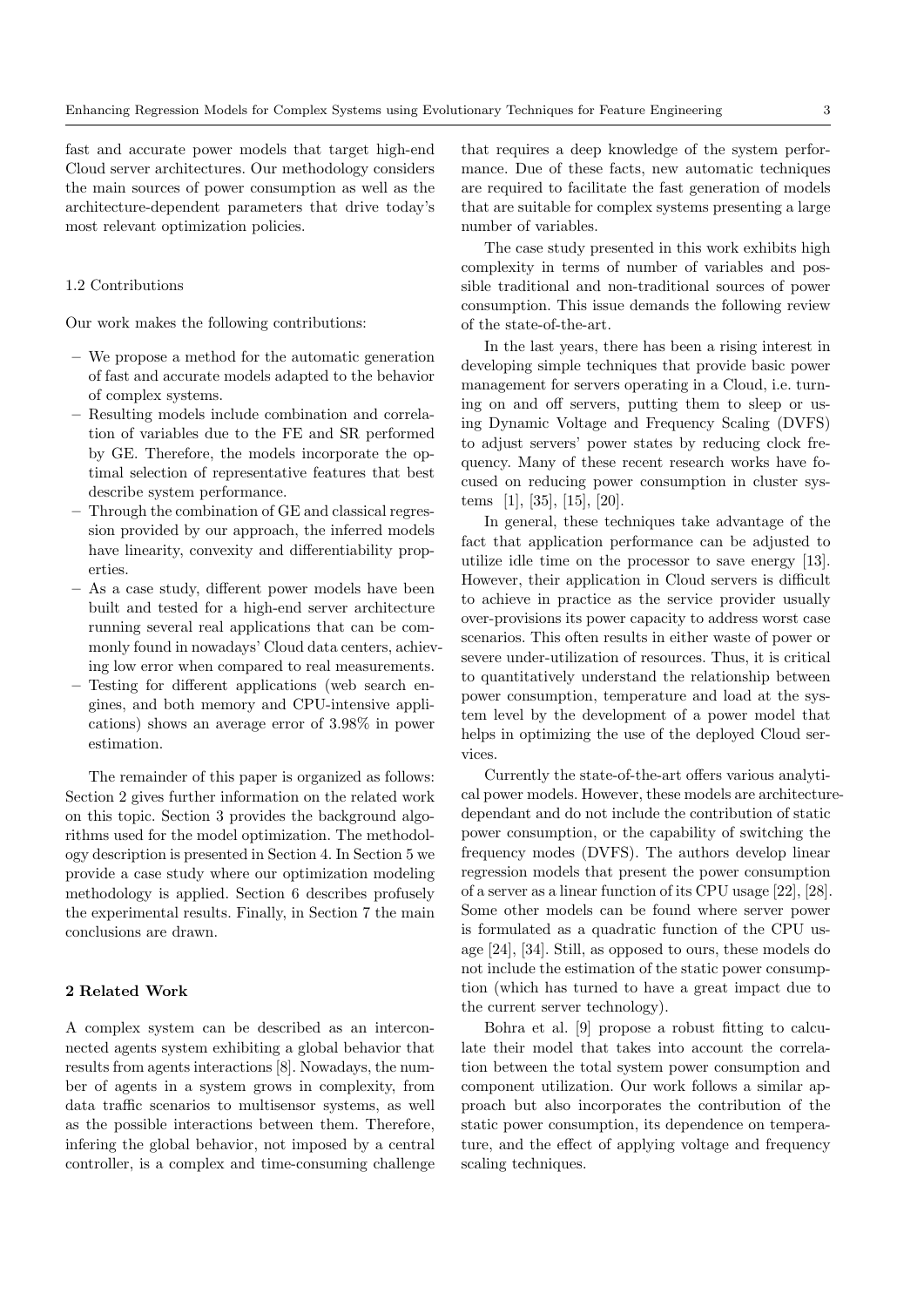fast and accurate power models that target high-end Cloud server architectures. Our methodology considers the main sources of power consumption as well as the architecture-dependent parameters that drive today's most relevant optimization policies.

## 1.2 Contributions

Our work makes the following contributions:

- We propose a method for the automatic generation of fast and accurate models adapted to the behavior of complex systems.
- Resulting models include combination and correlation of variables due to the FE and SR performed by GE. Therefore, the models incorporate the optimal selection of representative features that best describe system performance.
- Through the combination of GE and classical regression provided by our approach, the inferred models have linearity, convexity and differentiability properties.
- As a case study, different power models have been built and tested for a high-end server architecture running several real applications that can be commonly found in nowadays' Cloud data centers, achieving low error when compared to real measurements.
- Testing for different applications (web search engines, and both memory and CPU-intensive applications) shows an average error of 3.98% in power estimation.

The remainder of this paper is organized as follows: Section 2 gives further information on the related work on this topic. Section 3 provides the background algorithms used for the model optimization. The methodology description is presented in Section 4. In Section 5 we provide a case study where our optimization modeling methodology is applied. Section 6 describes profusely the experimental results. Finally, in Section 7 the main conclusions are drawn.

# 2 Related Work

A complex system can be described as an interconnected agents system exhibiting a global behavior that results from agents interactions [8]. Nowadays, the number of agents in a system grows in complexity, from data traffic scenarios to multisensor systems, as well as the possible interactions between them. Therefore, infering the global behavior, not imposed by a central controller, is a complex and time-consuming challenge that requires a deep knowledge of the system performance. Due of these facts, new automatic techniques are required to facilitate the fast generation of models that are suitable for complex systems presenting a large number of variables.

The case study presented in this work exhibits high complexity in terms of number of variables and possible traditional and non-traditional sources of power consumption. This issue demands the following review of the state-of-the-art.

In the last years, there has been a rising interest in developing simple techniques that provide basic power management for servers operating in a Cloud, i.e. turning on and off servers, putting them to sleep or using Dynamic Voltage and Frequency Scaling (DVFS) to adjust servers' power states by reducing clock frequency. Many of these recent research works have focused on reducing power consumption in cluster systems [1], [35], [15], [20].

In general, these techniques take advantage of the fact that application performance can be adjusted to utilize idle time on the processor to save energy [13]. However, their application in Cloud servers is difficult to achieve in practice as the service provider usually over-provisions its power capacity to address worst case scenarios. This often results in either waste of power or severe under-utilization of resources. Thus, it is critical to quantitatively understand the relationship between power consumption, temperature and load at the system level by the development of a power model that helps in optimizing the use of the deployed Cloud services.

Currently the state-of-the-art offers various analytical power models. However, these models are architecturedependant and do not include the contribution of static power consumption, or the capability of switching the frequency modes (DVFS). The authors develop linear regression models that present the power consumption of a server as a linear function of its CPU usage [22], [28]. Some other models can be found where server power is formulated as a quadratic function of the CPU usage [24], [34]. Still, as opposed to ours, these models do not include the estimation of the static power consumption (which has turned to have a great impact due to the current server technology).

Bohra et al. [9] propose a robust fitting to calculate their model that takes into account the correlation between the total system power consumption and component utilization. Our work follows a similar approach but also incorporates the contribution of the static power consumption, its dependence on temperature, and the effect of applying voltage and frequency scaling techniques.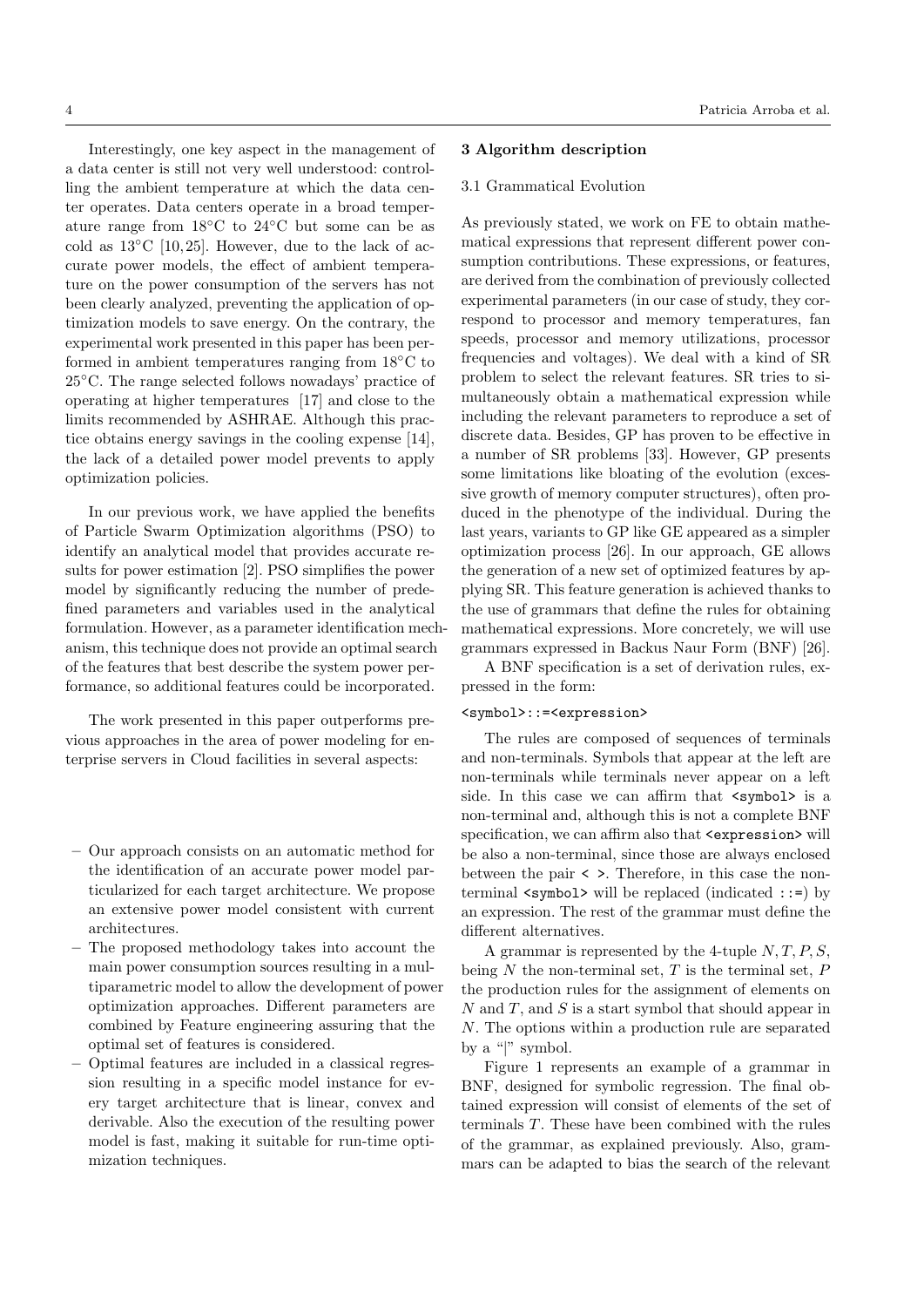Interestingly, one key aspect in the management of a data center is still not very well understood: controlling the ambient temperature at which the data center operates. Data centers operate in a broad temperature range from 18◦C to 24◦C but some can be as cold as  $13°C$  [10,25]. However, due to the lack of accurate power models, the effect of ambient temperature on the power consumption of the servers has not been clearly analyzed, preventing the application of optimization models to save energy. On the contrary, the experimental work presented in this paper has been performed in ambient temperatures ranging from 18◦C to 25◦C. The range selected follows nowadays' practice of operating at higher temperatures [17] and close to the limits recommended by ASHRAE. Although this practice obtains energy savings in the cooling expense [14], the lack of a detailed power model prevents to apply optimization policies.

In our previous work, we have applied the benefits of Particle Swarm Optimization algorithms (PSO) to identify an analytical model that provides accurate results for power estimation [2]. PSO simplifies the power model by significantly reducing the number of predefined parameters and variables used in the analytical formulation. However, as a parameter identification mechanism, this technique does not provide an optimal search of the features that best describe the system power performance, so additional features could be incorporated.

The work presented in this paper outperforms previous approaches in the area of power modeling for enterprise servers in Cloud facilities in several aspects:

- Our approach consists on an automatic method for the identification of an accurate power model particularized for each target architecture. We propose an extensive power model consistent with current architectures.
- The proposed methodology takes into account the main power consumption sources resulting in a multiparametric model to allow the development of power optimization approaches. Different parameters are combined by Feature engineering assuring that the optimal set of features is considered.
- Optimal features are included in a classical regression resulting in a specific model instance for every target architecture that is linear, convex and derivable. Also the execution of the resulting power model is fast, making it suitable for run-time optimization techniques.

# 4 Patricia Arroba et al.

## 3 Algorithm description

## 3.1 Grammatical Evolution

As previously stated, we work on FE to obtain mathematical expressions that represent different power consumption contributions. These expressions, or features, are derived from the combination of previously collected experimental parameters (in our case of study, they correspond to processor and memory temperatures, fan speeds, processor and memory utilizations, processor frequencies and voltages). We deal with a kind of SR problem to select the relevant features. SR tries to simultaneously obtain a mathematical expression while including the relevant parameters to reproduce a set of discrete data. Besides, GP has proven to be effective in a number of SR problems [33]. However, GP presents some limitations like bloating of the evolution (excessive growth of memory computer structures), often produced in the phenotype of the individual. During the last years, variants to GP like GE appeared as a simpler optimization process [26]. In our approach, GE allows the generation of a new set of optimized features by applying SR. This feature generation is achieved thanks to the use of grammars that define the rules for obtaining mathematical expressions. More concretely, we will use grammars expressed in Backus Naur Form (BNF) [26].

A BNF specification is a set of derivation rules, expressed in the form:

#### <symbol>::=<expression>

The rules are composed of sequences of terminals and non-terminals. Symbols that appear at the left are non-terminals while terminals never appear on a left side. In this case we can affirm that  $\langle$ symbol $\rangle$  is a non-terminal and, although this is not a complete BNF specification, we can affirm also that  $\leq$ expression> will be also a non-terminal, since those are always enclosed between the pair < >. Therefore, in this case the nonterminal  $\langle$ symbol $\rangle$  will be replaced (indicated ::=) by an expression. The rest of the grammar must define the different alternatives.

A grammar is represented by the 4-tuple  $N, T, P, S$ , being  $N$  the non-terminal set,  $T$  is the terminal set,  $P$ the production rules for the assignment of elements on  $N$  and  $T$ , and  $S$  is a start symbol that should appear in N. The options within a production rule are separated by a "|" symbol.

Figure 1 represents an example of a grammar in BNF, designed for symbolic regression. The final obtained expression will consist of elements of the set of terminals T. These have been combined with the rules of the grammar, as explained previously. Also, grammars can be adapted to bias the search of the relevant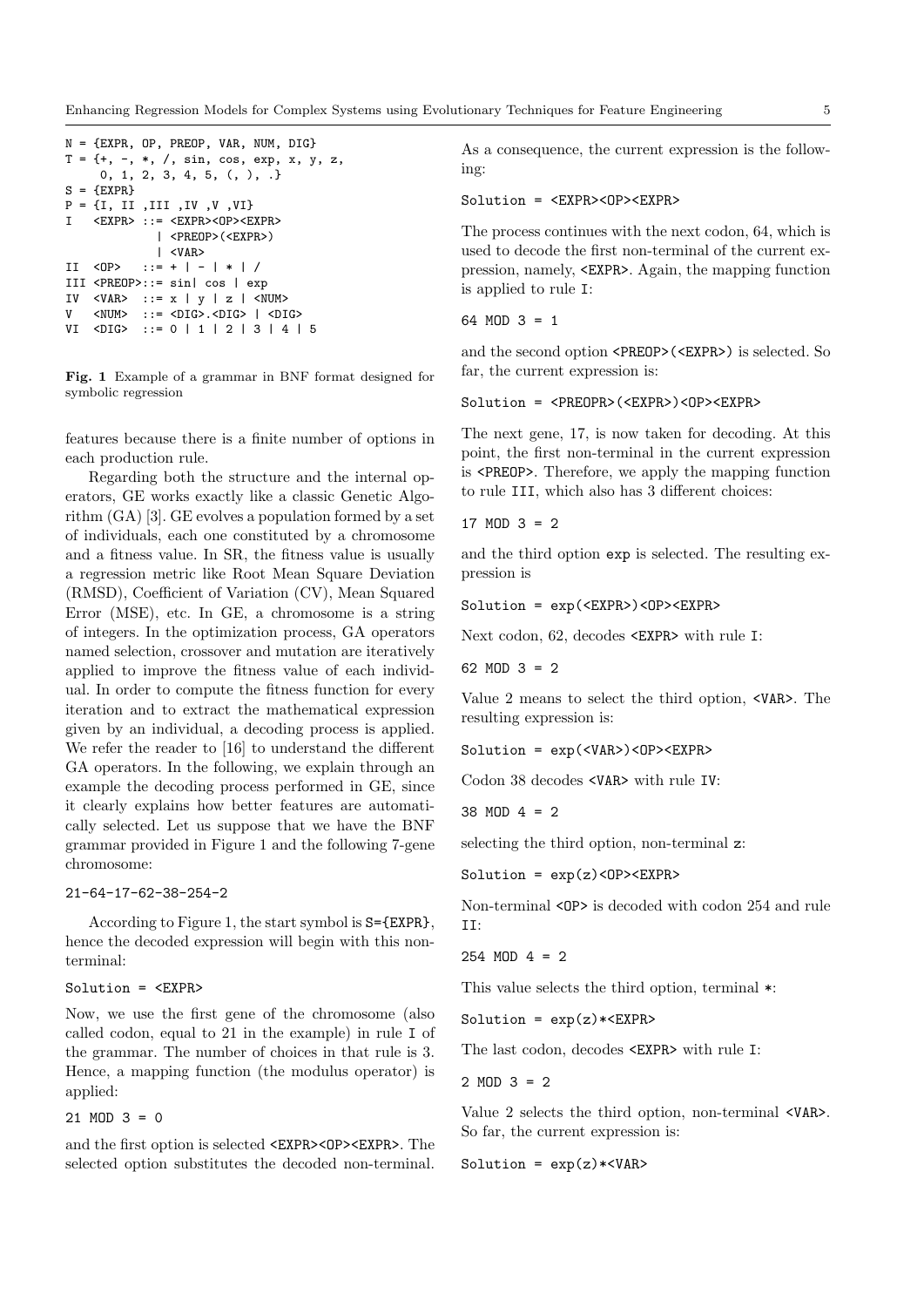```
N = {EXPR, OP, PREOP, VAR, NUM, DIG}
T = \{+, -, *, /, sin, cos, exp, x, y, z,0, 1, 2, 3, 4, 5, (, ), .}
S = \{EXPR\}P = \{I, II, III, III, V, VI\}I <EXPR> ::= <EXPR><OP><EXPR>
                 | <PREOP>(<EXPR>)
                 | <VAR>
II <0P> ::= + | - | * | /
III <PREOP>::= sin| cos | exp
IV \langle VAR \rangle ::= x | y | z | \langle NUM \rangle<br>V \langle NUM \rangle ::= \langle DTG \rangle, \langle DTG \rangle | \langle DTG \rangle::= <DIG>.<DIG> | <DIG>
VI <DIG> ::= 0 | 1 | 2 | 3 | 4 | 5
```
Fig. 1 Example of a grammar in BNF format designed for symbolic regression

features because there is a finite number of options in each production rule.

Regarding both the structure and the internal operators, GE works exactly like a classic Genetic Algorithm (GA) [3]. GE evolves a population formed by a set of individuals, each one constituted by a chromosome and a fitness value. In SR, the fitness value is usually a regression metric like Root Mean Square Deviation (RMSD), Coefficient of Variation (CV), Mean Squared Error (MSE), etc. In GE, a chromosome is a string of integers. In the optimization process, GA operators named selection, crossover and mutation are iteratively applied to improve the fitness value of each individual. In order to compute the fitness function for every iteration and to extract the mathematical expression given by an individual, a decoding process is applied. We refer the reader to [16] to understand the different GA operators. In the following, we explain through an example the decoding process performed in GE, since it clearly explains how better features are automatically selected. Let us suppose that we have the BNF grammar provided in Figure 1 and the following 7-gene chromosome:

## 21-64-17-62-38-254-2

According to Figure 1, the start symbol is S={EXPR}, hence the decoded expression will begin with this nonterminal:

#### Solution = <EXPR>

Now, we use the first gene of the chromosome (also called codon, equal to 21 in the example) in rule I of the grammar. The number of choices in that rule is 3. Hence, a mapping function (the modulus operator) is applied:

## 21 MOD 3 = 0

and the first option is selected **<EXPR><OP><EXPR>**. The selected option substitutes the decoded non-terminal.

As a consequence, the current expression is the following:

```
Solution = <EXPR><OP><EXPR>
```
The process continues with the next codon, 64, which is used to decode the first non-terminal of the current expression, namely, <EXPR>. Again, the mapping function is applied to rule I:

64 MOD 3 = 1

and the second option <PREOP>(<EXPR>) is selected. So far, the current expression is:

Solution = <PREOPR>(<EXPR>)<OP><EXPR>

The next gene, 17, is now taken for decoding. At this point, the first non-terminal in the current expression is <PREOP>. Therefore, we apply the mapping function to rule III, which also has 3 different choices:

17 MOD 3 = 2

and the third option exp is selected. The resulting expression is

Solution = exp(<EXPR>)<OP><EXPR>

Next codon, 62, decodes <EXPR> with rule I:

62 MOD 3 = 2

Value 2 means to select the third option, <VAR>. The resulting expression is:

Solution = exp(<VAR>)<OP><EXPR>

Codon 38 decodes <VAR> with rule IV:

38 MOD 4 = 2

selecting the third option, non-terminal z:

 $Solution = exp(z) < OP > EXPR$ 

Non-terminal <OP> is decoded with codon 254 and rule II:

 $254 MOD 4 = 2$ 

This value selects the third option, terminal \*:

Solution =  $exp(z)***EXPR**$ 

The last codon, decodes <EXPR> with rule I:

2 MOD 3 = 2

Value 2 selects the third option, non-terminal <VAR>. So far, the current expression is:

Solution =  $exp(z)*$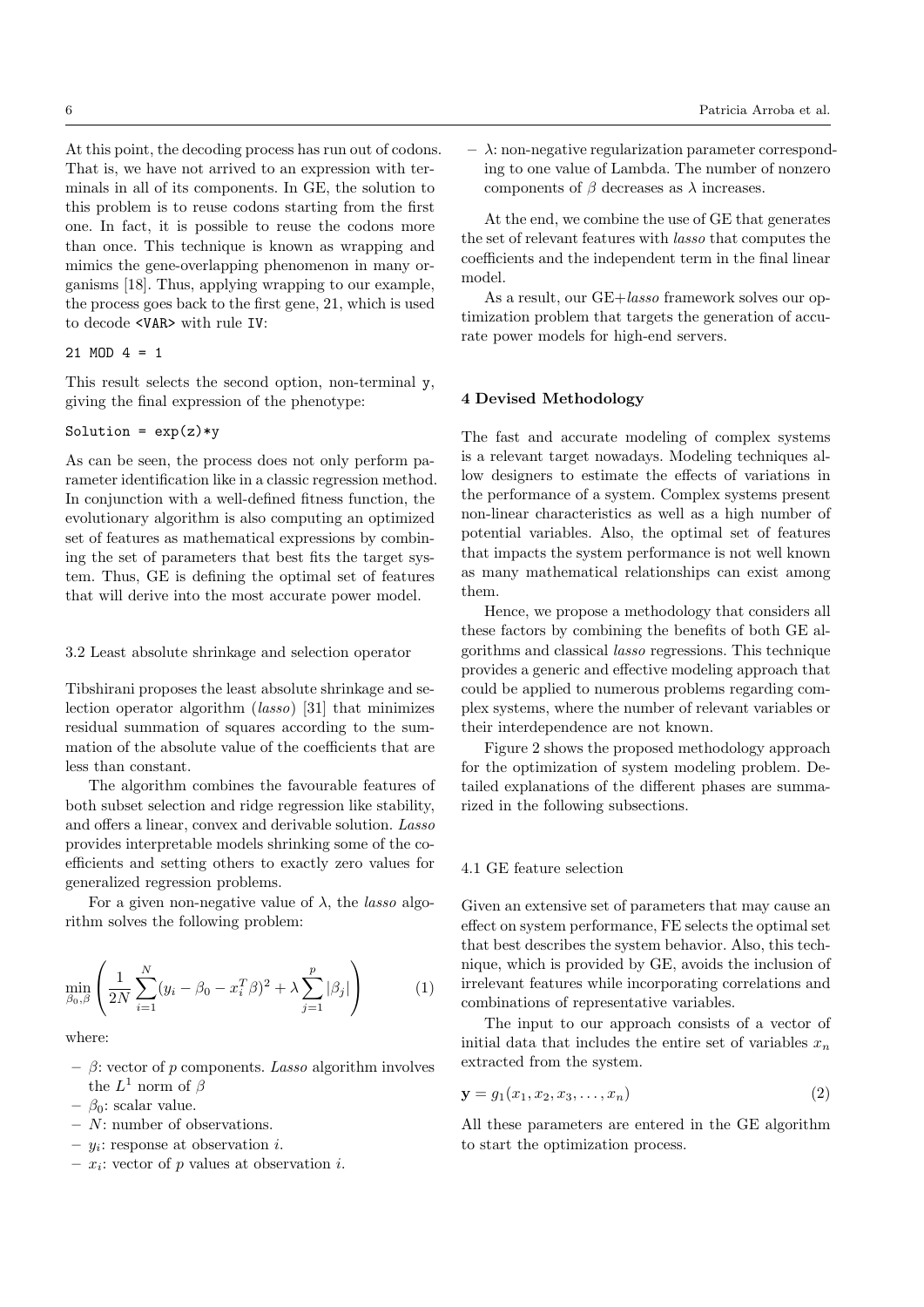At this point, the decoding process has run out of codons. That is, we have not arrived to an expression with terminals in all of its components. In GE, the solution to this problem is to reuse codons starting from the first one. In fact, it is possible to reuse the codons more than once. This technique is known as wrapping and mimics the gene-overlapping phenomenon in many organisms [18]. Thus, applying wrapping to our example, the process goes back to the first gene, 21, which is used to decode <VAR> with rule IV:

$$
21 \text{ MOD } 4 = 1
$$

This result selects the second option, non-terminal y, giving the final expression of the phenotype:

# Solution =  $exp(z)*y$

As can be seen, the process does not only perform parameter identification like in a classic regression method. In conjunction with a well-defined fitness function, the evolutionary algorithm is also computing an optimized set of features as mathematical expressions by combining the set of parameters that best fits the target system. Thus, GE is defining the optimal set of features that will derive into the most accurate power model.

#### 3.2 Least absolute shrinkage and selection operator

Tibshirani proposes the least absolute shrinkage and selection operator algorithm (lasso) [31] that minimizes residual summation of squares according to the summation of the absolute value of the coefficients that are less than constant.

The algorithm combines the favourable features of both subset selection and ridge regression like stability, and offers a linear, convex and derivable solution. Lasso provides interpretable models shrinking some of the coefficients and setting others to exactly zero values for generalized regression problems.

For a given non-negative value of  $\lambda$ , the *lasso* algorithm solves the following problem:

$$
\min_{\beta_0, \beta} \left( \frac{1}{2N} \sum_{i=1}^N (y_i - \beta_0 - x_i^T \beta)^2 + \lambda \sum_{j=1}^p |\beta_j| \right) \tag{1}
$$

where:

- $-$  β: vector of p components. Lasso algorithm involves the  $L^1$  norm of  $\beta$
- $\beta_0$ : scalar value.
- $N:$  number of observations.
- $y_i$ : response at observation *i*.
- $x_i$ : vector of p values at observation i.

 $- \lambda$ : non-negative regularization parameter corresponding to one value of Lambda. The number of nonzero components of  $\beta$  decreases as  $\lambda$  increases.

At the end, we combine the use of GE that generates the set of relevant features with lasso that computes the coefficients and the independent term in the final linear model.

As a result, our GE+lasso framework solves our optimization problem that targets the generation of accurate power models for high-end servers.

## 4 Devised Methodology

The fast and accurate modeling of complex systems is a relevant target nowadays. Modeling techniques allow designers to estimate the effects of variations in the performance of a system. Complex systems present non-linear characteristics as well as a high number of potential variables. Also, the optimal set of features that impacts the system performance is not well known as many mathematical relationships can exist among them.

Hence, we propose a methodology that considers all these factors by combining the benefits of both GE algorithms and classical lasso regressions. This technique provides a generic and effective modeling approach that could be applied to numerous problems regarding complex systems, where the number of relevant variables or their interdependence are not known.

Figure 2 shows the proposed methodology approach for the optimization of system modeling problem. Detailed explanations of the different phases are summarized in the following subsections.

#### 4.1 GE feature selection

Given an extensive set of parameters that may cause an effect on system performance, FE selects the optimal set that best describes the system behavior. Also, this technique, which is provided by GE, avoids the inclusion of irrelevant features while incorporating correlations and combinations of representative variables.

The input to our approach consists of a vector of initial data that includes the entire set of variables  $x_n$ extracted from the system.

$$
y = g_1(x_1, x_2, x_3, \dots, x_n)
$$
 (2)

All these parameters are entered in the GE algorithm to start the optimization process.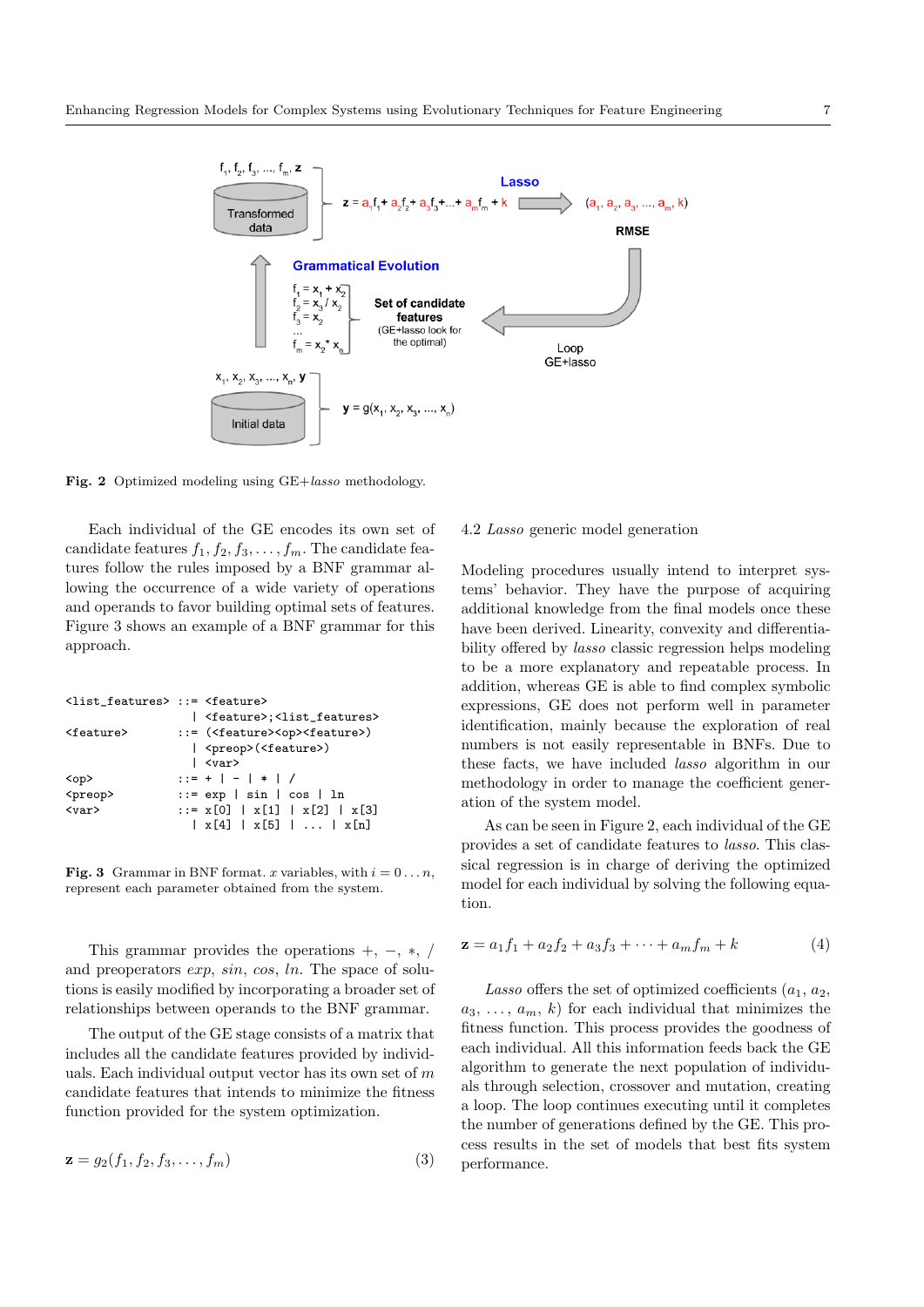

Fig. 2 Optimized modeling using GE+lasso methodology.

Each individual of the GE encodes its own set of candidate features  $f_1, f_2, f_3, \ldots, f_m$ . The candidate features follow the rules imposed by a BNF grammar allowing the occurrence of a wide variety of operations and operands to favor building optimal sets of features. Figure 3 shows an example of a BNF grammar for this approach.

| <list_features> ::= <feature></feature></list_features> | <feature>;<list_features></list_features></feature>                                                            |
|---------------------------------------------------------|----------------------------------------------------------------------------------------------------------------|
| <feature></feature>                                     | ::= ( <feature><op><feature>)<br/>  <preop>(<feature>)</feature></preop></feature></op></feature>              |
|                                                         | $\sqrt{\sqrt{2}}$                                                                                              |
| $<$ op>                                                 | $\cdot$ : = +   -   *   /                                                                                      |
| <preop></preop>                                         | $::= exp   sin   cos   ln$                                                                                     |
| $\langle var \rangle$                                   | $::= x[0]   x[1]   x[2]   x[3]$<br>$\lceil x \lceil 4 \rceil + x \lceil 5 \rceil + \ldots + x \lceil n \rceil$ |

Fig. 3 Grammar in BNF format. x variables, with  $i = 0 \ldots n$ , represent each parameter obtained from the system.

This grammar provides the operations  $+, -, *, /$ and preoperators  $exp$ ,  $sin$ ,  $cos$ ,  $ln$ . The space of solutions is easily modified by incorporating a broader set of relationships between operands to the BNF grammar.

The output of the GE stage consists of a matrix that includes all the candidate features provided by individuals. Each individual output vector has its own set of  $m$ candidate features that intends to minimize the fitness function provided for the system optimization.

$$
\mathbf{z} = g_2(f_1, f_2, f_3, \dots, f_m) \tag{3}
$$

#### 4.2 Lasso generic model generation

Modeling procedures usually intend to interpret systems' behavior. They have the purpose of acquiring additional knowledge from the final models once these have been derived. Linearity, convexity and differentiability offered by *lasso* classic regression helps modeling to be a more explanatory and repeatable process. In addition, whereas GE is able to find complex symbolic expressions, GE does not perform well in parameter identification, mainly because the exploration of real numbers is not easily representable in BNFs. Due to these facts, we have included lasso algorithm in our methodology in order to manage the coefficient generation of the system model.

As can be seen in Figure 2, each individual of the GE provides a set of candidate features to lasso. This classical regression is in charge of deriving the optimized model for each individual by solving the following equation.

$$
\mathbf{z} = a_1 f_1 + a_2 f_2 + a_3 f_3 + \dots + a_m f_m + k \tag{4}
$$

Lasso offers the set of optimized coefficients  $(a_1, a_2,$  $a_3, \ldots, a_m, k$  for each individual that minimizes the fitness function. This process provides the goodness of each individual. All this information feeds back the GE algorithm to generate the next population of individuals through selection, crossover and mutation, creating a loop. The loop continues executing until it completes the number of generations defined by the GE. This process results in the set of models that best fits system performance.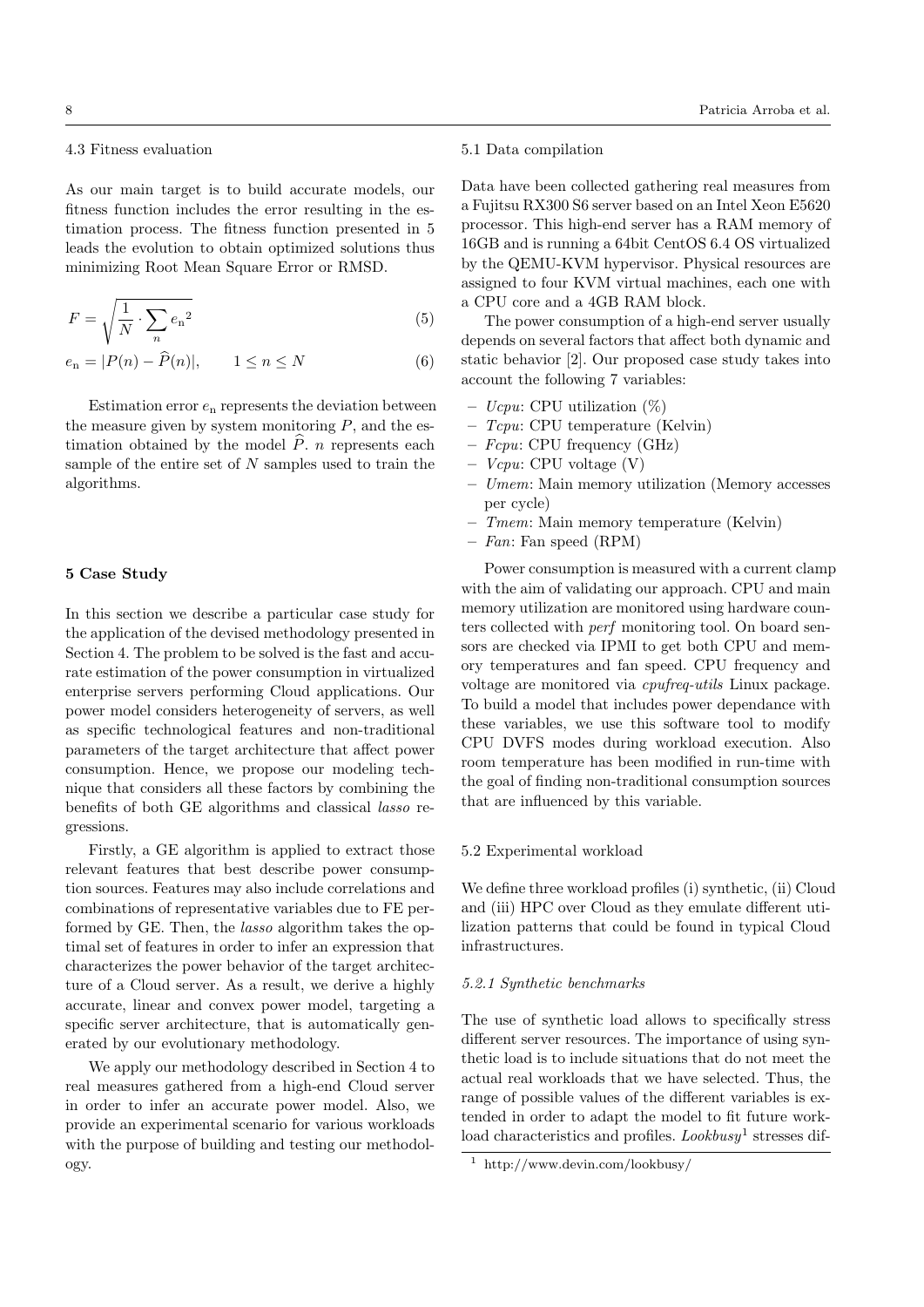# 4.3 Fitness evaluation

As our main target is to build accurate models, our fitness function includes the error resulting in the estimation process. The fitness function presented in 5 leads the evolution to obtain optimized solutions thus minimizing Root Mean Square Error or RMSD.

$$
F = \sqrt{\frac{1}{N} \cdot \sum_{n} e_n^2} \tag{5}
$$

$$
e_n = |P(n) - \widehat{P}(n)|, \qquad 1 \le n \le N \tag{6}
$$

Estimation error  $e_n$  represents the deviation between the measure given by system monitoring  $P$ , and the estimation obtained by the model  $\hat{P}$ . *n* represents each sample of the entire set of  $N$  samples used to train the algorithms.

#### 5 Case Study

In this section we describe a particular case study for the application of the devised methodology presented in Section 4. The problem to be solved is the fast and accurate estimation of the power consumption in virtualized enterprise servers performing Cloud applications. Our power model considers heterogeneity of servers, as well as specific technological features and non-traditional parameters of the target architecture that affect power consumption. Hence, we propose our modeling technique that considers all these factors by combining the benefits of both GE algorithms and classical lasso regressions.

Firstly, a GE algorithm is applied to extract those relevant features that best describe power consumption sources. Features may also include correlations and combinations of representative variables due to FE performed by GE. Then, the *lasso* algorithm takes the optimal set of features in order to infer an expression that characterizes the power behavior of the target architecture of a Cloud server. As a result, we derive a highly accurate, linear and convex power model, targeting a specific server architecture, that is automatically generated by our evolutionary methodology.

We apply our methodology described in Section 4 to real measures gathered from a high-end Cloud server in order to infer an accurate power model. Also, we provide an experimental scenario for various workloads with the purpose of building and testing our methodology.

#### 5.1 Data compilation

Data have been collected gathering real measures from a Fujitsu RX300 S6 server based on an Intel Xeon E5620 processor. This high-end server has a RAM memory of 16GB and is running a 64bit CentOS 6.4 OS virtualized by the QEMU-KVM hypervisor. Physical resources are assigned to four KVM virtual machines, each one with a CPU core and a 4GB RAM block.

The power consumption of a high-end server usually depends on several factors that affect both dynamic and static behavior [2]. Our proposed case study takes into account the following 7 variables:

- $-$  *Ucpu*: CPU utilization  $(\%)$
- Tcpu: CPU temperature (Kelvin)
- $-$  *Fcpu*: CPU frequency (GHz)
- $-$  *Vcpu*: CPU voltage  $(V)$
- $-$  Umem: Main memory utilization (Memory accesses per cycle)
- $-$  Tmem: Main memory temperature (Kelvin)
- Fan: Fan speed (RPM)

Power consumption is measured with a current clamp with the aim of validating our approach. CPU and main memory utilization are monitored using hardware counters collected with perf monitoring tool. On board sensors are checked via IPMI to get both CPU and memory temperatures and fan speed. CPU frequency and voltage are monitored via cpufreq-utils Linux package. To build a model that includes power dependance with these variables, we use this software tool to modify CPU DVFS modes during workload execution. Also room temperature has been modified in run-time with the goal of finding non-traditional consumption sources that are influenced by this variable.

#### 5.2 Experimental workload

We define three workload profiles (i) synthetic, (ii) Cloud and (iii) HPC over Cloud as they emulate different utilization patterns that could be found in typical Cloud infrastructures.

#### 5.2.1 Synthetic benchmarks

The use of synthetic load allows to specifically stress different server resources. The importance of using synthetic load is to include situations that do not meet the actual real workloads that we have selected. Thus, the range of possible values of the different variables is extended in order to adapt the model to fit future workload characteristics and profiles.  $Look busy<sup>1</sup>$  stresses dif-

<sup>1</sup> http://www.devin.com/lookbusy/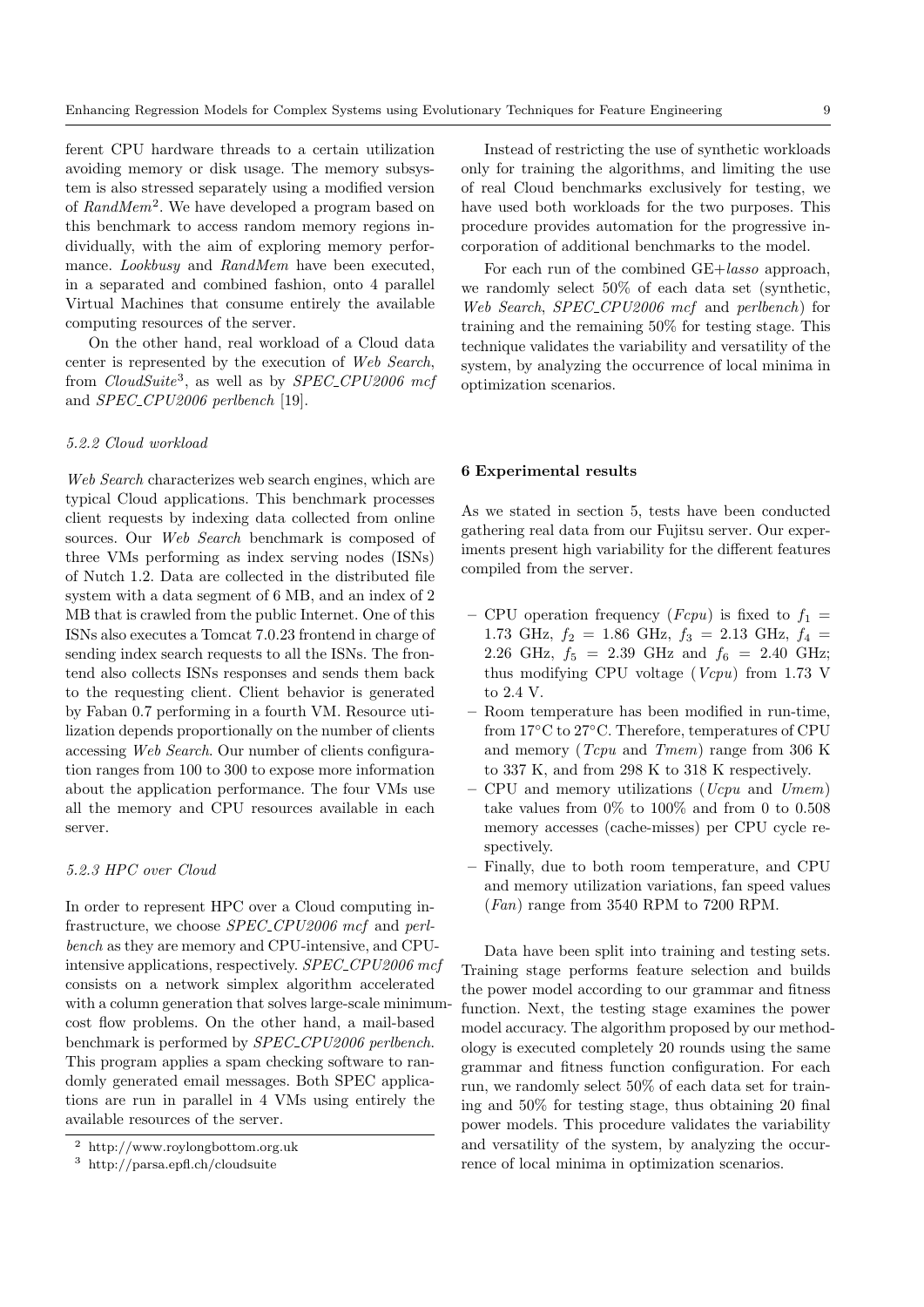ferent CPU hardware threads to a certain utilization avoiding memory or disk usage. The memory subsystem is also stressed separately using a modified version of  $Random<sup>2</sup>$ . We have developed a program based on this benchmark to access random memory regions individually, with the aim of exploring memory performance. *Lookbusy* and *RandMem* have been executed, in a separated and combined fashion, onto 4 parallel Virtual Machines that consume entirely the available computing resources of the server.

On the other hand, real workload of a Cloud data center is represented by the execution of Web Search, from *CloudSuite*<sup>3</sup>, as well as by *SPEC\_CPU2006* mcf and *SPEC\_CPU2006* perlbench [19].

#### 5.2.2 Cloud workload

Web Search characterizes web search engines, which are typical Cloud applications. This benchmark processes client requests by indexing data collected from online sources. Our Web Search benchmark is composed of three VMs performing as index serving nodes (ISNs) of Nutch 1.2. Data are collected in the distributed file system with a data segment of 6 MB, and an index of 2 MB that is crawled from the public Internet. One of this ISNs also executes a Tomcat 7.0.23 frontend in charge of sending index search requests to all the ISNs. The frontend also collects ISNs responses and sends them back to the requesting client. Client behavior is generated by Faban 0.7 performing in a fourth VM. Resource utilization depends proportionally on the number of clients accessing Web Search. Our number of clients configuration ranges from 100 to 300 to expose more information about the application performance. The four VMs use all the memory and CPU resources available in each server.

# 5.2.3 HPC over Cloud

In order to represent HPC over a Cloud computing infrastructure, we choose SPEC CPU2006 mcf and perlbench as they are memory and CPU-intensive, and CPUintensive applications, respectively. SPEC CPU2006 mcf consists on a network simplex algorithm accelerated with a column generation that solves large-scale minimumcost flow problems. On the other hand, a mail-based benchmark is performed by SPEC CPU2006 perlbench. This program applies a spam checking software to randomly generated email messages. Both SPEC applications are run in parallel in 4 VMs using entirely the available resources of the server.

Instead of restricting the use of synthetic workloads only for training the algorithms, and limiting the use of real Cloud benchmarks exclusively for testing, we have used both workloads for the two purposes. This procedure provides automation for the progressive incorporation of additional benchmarks to the model.

For each run of the combined GE+lasso approach, we randomly select 50% of each data set (synthetic, Web Search, SPEC<sub>-CPU2006</sub> mcf and perlbench) for training and the remaining 50% for testing stage. This technique validates the variability and versatility of the system, by analyzing the occurrence of local minima in optimization scenarios.

## 6 Experimental results

As we stated in section 5, tests have been conducted gathering real data from our Fujitsu server. Our experiments present high variability for the different features compiled from the server.

- CPU operation frequency  $(Fcpu)$  is fixed to  $f_1$  = 1.73 GHz,  $f_2 = 1.86$  GHz,  $f_3 = 2.13$  GHz,  $f_4 =$ 2.26 GHz,  $f_5 = 2.39$  GHz and  $f_6 = 2.40$  GHz; thus modifying CPU voltage  $(Vcpu)$  from 1.73 V to 2.4 V.
- Room temperature has been modified in run-time, from 17◦C to 27◦C. Therefore, temperatures of CPU and memory  $(Tcpu \text{ and } Tmem)$  range from 306 K to 337 K, and from 298 K to 318 K respectively.
- CPU and memory utilizations ( $Ucpu$  and  $Umem$ ) take values from  $0\%$  to  $100\%$  and from 0 to 0.508 memory accesses (cache-misses) per CPU cycle respectively.
- Finally, due to both room temperature, and CPU and memory utilization variations, fan speed values (Fan) range from 3540 RPM to 7200 RPM.

Data have been split into training and testing sets. Training stage performs feature selection and builds the power model according to our grammar and fitness function. Next, the testing stage examines the power model accuracy. The algorithm proposed by our methodology is executed completely 20 rounds using the same grammar and fitness function configuration. For each run, we randomly select 50% of each data set for training and 50% for testing stage, thus obtaining 20 final power models. This procedure validates the variability and versatility of the system, by analyzing the occurrence of local minima in optimization scenarios.

<sup>2</sup> http://www.roylongbottom.org.uk

<sup>3</sup> http://parsa.epfl.ch/cloudsuite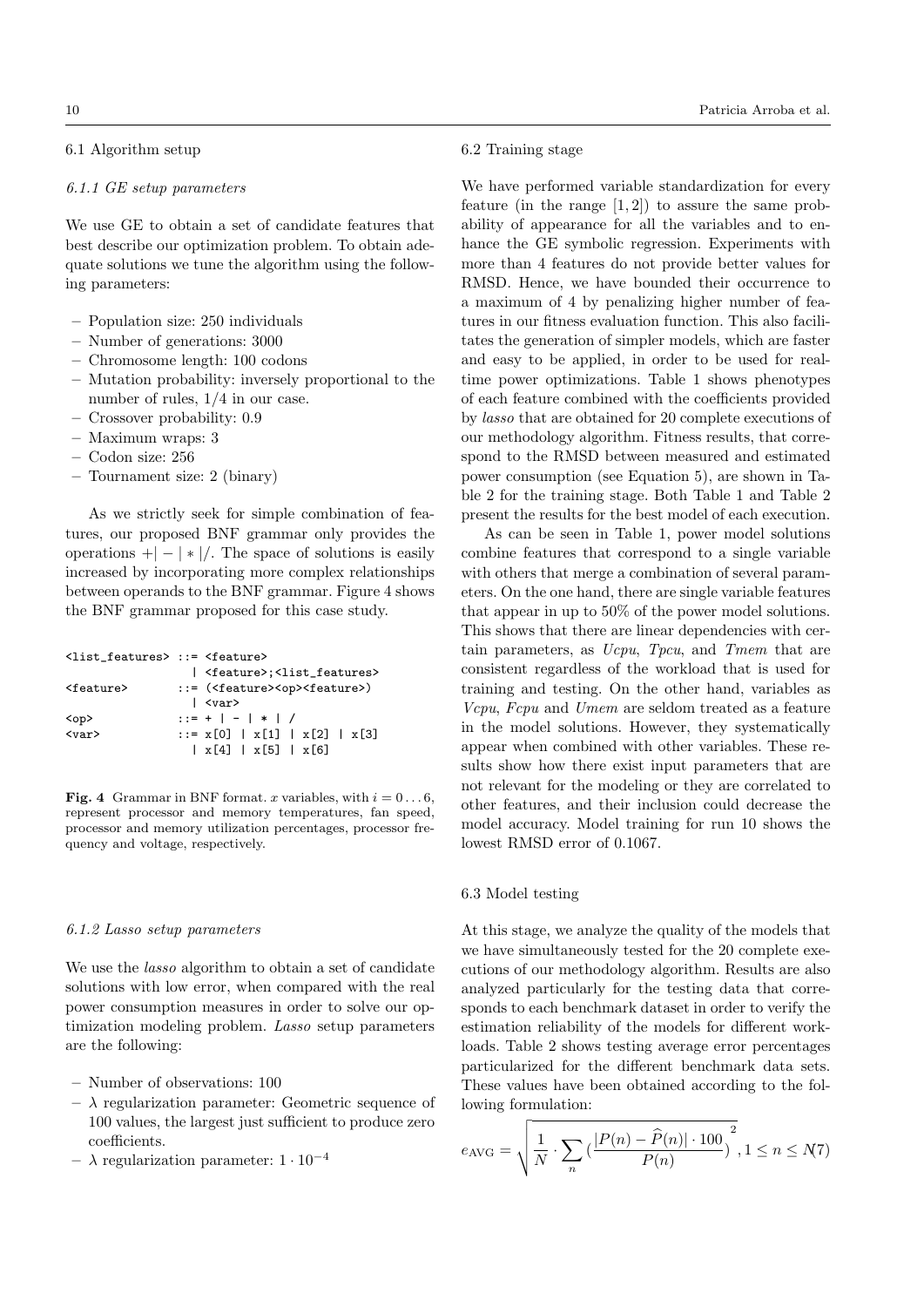# 6.1 Algorithm setup

# 6.1.1 GE setup parameters

We use GE to obtain a set of candidate features that best describe our optimization problem. To obtain adequate solutions we tune the algorithm using the following parameters:

- Population size: 250 individuals
- Number of generations: 3000
- Chromosome length: 100 codons
- Mutation probability: inversely proportional to the number of rules, 1/4 in our case.
- Crossover probability: 0.9
- Maximum wraps: 3
- Codon size: 256
- Tournament size: 2 (binary)

As we strictly seek for simple combination of features, our proposed BNF grammar only provides the operations  $+|-|*|/$ . The space of solutions is easily increased by incorporating more complex relationships between operands to the BNF grammar. Figure 4 shows the BNF grammar proposed for this case study.

| <list_features> ::= <feature></feature></list_features> |                                                          |
|---------------------------------------------------------|----------------------------------------------------------|
|                                                         | <feature>;<list_features></list_features></feature>      |
| <feature></feature>                                     | $::=$ ( <feature><op><feature>)</feature></op></feature> |
|                                                         | $\sqrt{\sqrt{2}}$                                        |
| $<$ op>                                                 | $\cdot$ : = +   -   *   /                                |
| $\langle var \rangle$                                   | $::= x[0]   x[1]   x[2]   x[3]$                          |
|                                                         | $\vert x[4] \vert x[5] \vert x[6]$                       |

Fig. 4 Grammar in BNF format. x variables, with  $i = 0 \dots 6$ , represent processor and memory temperatures, fan speed, processor and memory utilization percentages, processor frequency and voltage, respectively.

#### 6.1.2 Lasso setup parameters

We use the *lasso* algorithm to obtain a set of candidate solutions with low error, when compared with the real power consumption measures in order to solve our optimization modeling problem. Lasso setup parameters are the following:

- Number of observations: 100
- $\lambda$  regularization parameter: Geometric sequence of 100 values, the largest just sufficient to produce zero coefficients.
- λ regularization parameter: 1 · 10<sup>−</sup><sup>4</sup>

## 6.2 Training stage

We have performed variable standardization for every feature (in the range  $[1, 2]$ ) to assure the same probability of appearance for all the variables and to enhance the GE symbolic regression. Experiments with more than 4 features do not provide better values for RMSD. Hence, we have bounded their occurrence to a maximum of 4 by penalizing higher number of features in our fitness evaluation function. This also facilitates the generation of simpler models, which are faster and easy to be applied, in order to be used for realtime power optimizations. Table 1 shows phenotypes of each feature combined with the coefficients provided by lasso that are obtained for 20 complete executions of our methodology algorithm. Fitness results, that correspond to the RMSD between measured and estimated power consumption (see Equation 5), are shown in Table 2 for the training stage. Both Table 1 and Table 2 present the results for the best model of each execution.

As can be seen in Table 1, power model solutions combine features that correspond to a single variable with others that merge a combination of several parameters. On the one hand, there are single variable features that appear in up to 50% of the power model solutions. This shows that there are linear dependencies with certain parameters, as Ucpu, Tpcu, and Tmem that are consistent regardless of the workload that is used for training and testing. On the other hand, variables as Vcpu, Fcpu and Umem are seldom treated as a feature in the model solutions. However, they systematically appear when combined with other variables. These results show how there exist input parameters that are not relevant for the modeling or they are correlated to other features, and their inclusion could decrease the model accuracy. Model training for run 10 shows the lowest RMSD error of 0.1067.

#### 6.3 Model testing

At this stage, we analyze the quality of the models that we have simultaneously tested for the 20 complete executions of our methodology algorithm. Results are also analyzed particularly for the testing data that corresponds to each benchmark dataset in order to verify the estimation reliability of the models for different workloads. Table 2 shows testing average error percentages particularized for the different benchmark data sets. These values have been obtained according to the following formulation:

$$
e_{\text{AVG}} = \sqrt{\frac{1}{N} \cdot \sum_{n} \left( \frac{|P(n) - \widehat{P}(n)| \cdot 100}{P(n)} \right)^2}, 1 \le n \le N(7)
$$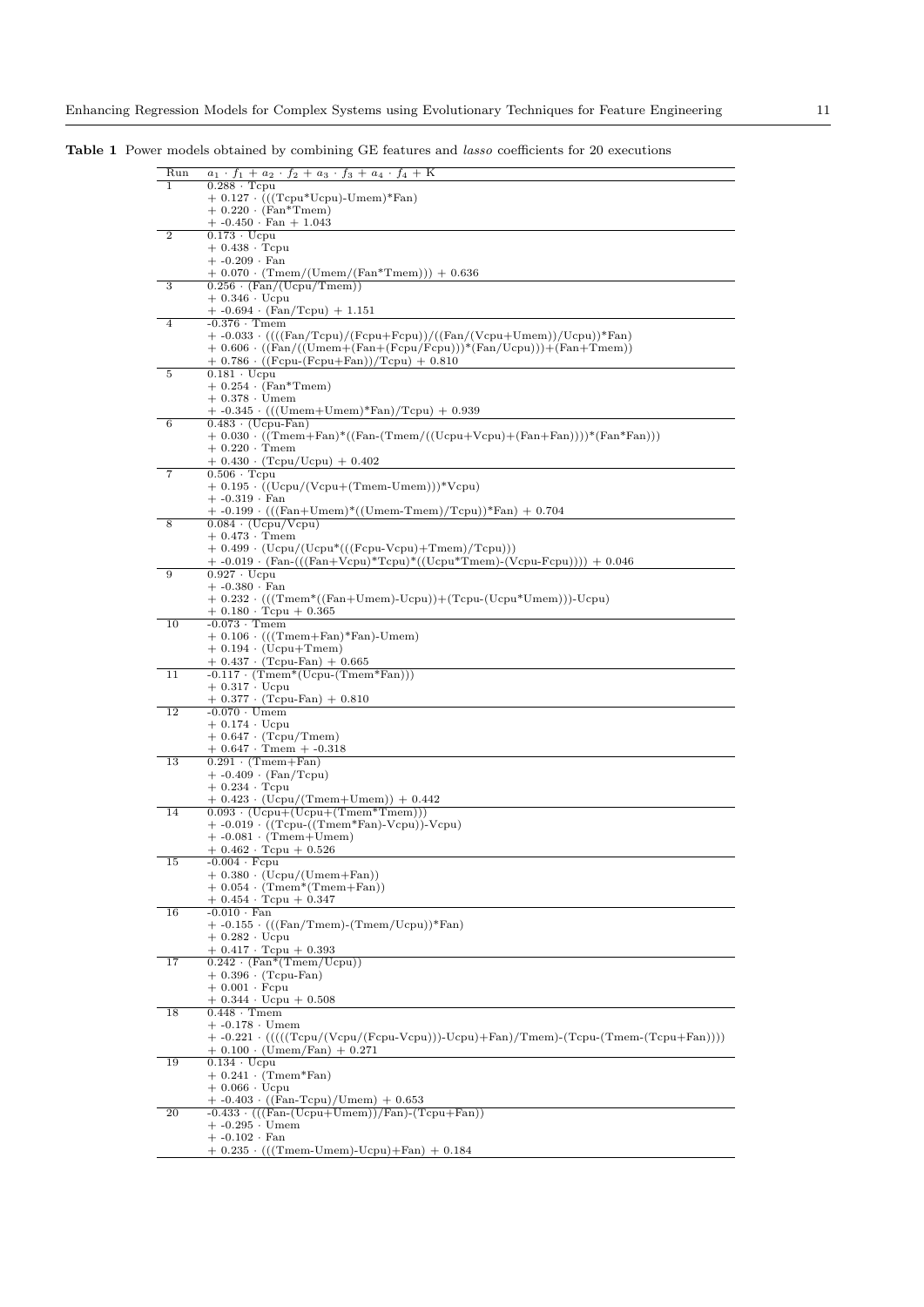| Run            | $a_1 \cdot f_1 + a_2 \cdot f_2 + a_3 \cdot f_3 + a_4 \cdot f_4 + K$                                                    |
|----------------|------------------------------------------------------------------------------------------------------------------------|
| 1              | $0.288 \cdot T$ cpu                                                                                                    |
|                | $+ 0.127 \cdot ((Tcpu*Ucpu)$ -Umem)*Fan)                                                                               |
|                | $+ 0.220 \cdot (Fan*Temp)$                                                                                             |
|                |                                                                                                                        |
|                | $+$ -0.450 $\cdot$ Fan $+$ 1.043                                                                                       |
| $\overline{2}$ | $0.173 \cdot Ucpu$                                                                                                     |
|                | $+0.438 \cdot T$ cpu                                                                                                   |
|                | $+ -0.209 \cdot \text{Fan}$                                                                                            |
|                | $+ 0.070 \cdot (Tmem/(Umem/(Fan*Temp))) + 0.636$                                                                       |
| 3              | $0.256 \cdot (Fan/(Ucpu/Them))$                                                                                        |
|                | $+0.346 \cdot Ucpu$                                                                                                    |
|                |                                                                                                                        |
|                | $+$ -0.694 $\cdot$ (Fan/Tcpu) + 1.151                                                                                  |
| $\overline{4}$ | $-0.376$ Tmem                                                                                                          |
|                | $+$ -0.033 $\cdot$ ((((Fan/Tcpu)/(Fcpu+Fcpu))/((Fan/(Vcpu+Umem))/Ucpu))*Fan)                                           |
|                | $+ 0.606 \cdot ((Fan/((Umem + (Fan + (Fcpu/Fcpu))) * (Fan/Ucpu))) + (Fan + Temp))$                                     |
|                | $+ 0.786 \cdot ((Fcpu(Fcpu + Fan))/Tcpu) + 0.810$                                                                      |
| 5              | $0.181 \cdot \text{Ucpu}$                                                                                              |
|                |                                                                                                                        |
|                | $+ 0.254 \cdot (Fan*Temp)$                                                                                             |
|                | $+0.378 \cdot$ Umem                                                                                                    |
|                | $+$ -0.345 $\cdot$ (((Umem+Umem)*Fan)/Tcpu) + 0.939                                                                    |
| 6              | $0.483 \cdot (Ucpu-Fan)$                                                                                               |
|                | $+ 0.030 \cdot ((Tmem + Fan)*( (Fan-(Tmem/((Ucpu+Vcpu)+(Fan+Fan))))*(Fan*Fan)))$                                       |
|                | $+$ 0.220 $\cdot$ Tmem                                                                                                 |
|                | $+ 0.430 \cdot (Tcpu/Ucpu) + 0.402$                                                                                    |
|                |                                                                                                                        |
| 7              | $0.506 \cdot$ Tcpu                                                                                                     |
|                | $+ 0.195 \cdot ((Ucpu/(Vcpu + (Tmem-Umem))) * Vcpu)$                                                                   |
|                | $+ -0.319 \cdot \text{Fan}$                                                                                            |
|                | $+$ -0.199 $\cdot$ (((Fan+Umem)*((Umem-Tmem)/Tcpu))*Fan) + 0.704                                                       |
| 8              | $0.084 \cdot (Ucpu/Vcpu)$                                                                                              |
|                | $+0.473 \cdot$ Tmem                                                                                                    |
|                |                                                                                                                        |
|                | $+ 0.499 \cdot (Ucpu/(Ucpu*((Fcpu-Vcpu)+Tmem)/Tcpu)))$                                                                 |
|                | $+$ -0.019 $\cdot$ (Fan-(((Fan+Vcpu)*Tcpu)*((Ucpu*Tmem)-(Vcpu-Fcpu)))) + 0.046                                         |
| 9              | $0.927 \cdot Ucpu$                                                                                                     |
|                | $+ -0.380 \cdot \text{Fan}$                                                                                            |
|                | $+ 0.232 \cdot (((\text{Trmem*}((\text{Fan+Umem})-\text{Ucpu}))+(\text{Topu*}(\text{Upu*}(\text{Urem})))-\text{Ucpu})$ |
|                | $+ 0.180 \cdot Tcpu + 0.365$                                                                                           |
| 10             | $-0.073$ Tmem                                                                                                          |
|                |                                                                                                                        |
|                | $+ 0.106 \cdot ((\text{Tmem} + \text{Fan}) * \text{Fan}) - \text{Umem})$                                               |
|                | $+ 0.194 \cdot (Ucpu + Tmem)$                                                                                          |
|                | $+ 0.437 \cdot (Tcpu-Fan) + 0.665$                                                                                     |
| 11             | $-0.117 \cdot (Tmem*(Ucpu(Tmem*Fan)))$                                                                                 |
|                | $+0.317 \cdot Ucpu$                                                                                                    |
|                | $+ 0.377 \cdot (Tcpu-Fan) + 0.810$                                                                                     |
| 12             | $-0.070 \cdot$ Umem                                                                                                    |
|                |                                                                                                                        |
|                | $+0.174 \cdot Ucpu$                                                                                                    |
|                | $+ 0.647 \cdot (Tcpu/Them)$                                                                                            |
|                | $+ 0.647 \cdot$ Tmem $+ -0.318$                                                                                        |
| 13             | $0.291 \cdot (Tmem + Fan)$                                                                                             |
|                | $+$ -0.409 $\cdot$ (Fan/Tcpu)                                                                                          |
|                | $+0.234 \cdot T$ cpu                                                                                                   |
|                | $+ 0.423 \cdot (Ucpu/(Tmem+Umem)) + 0.442$                                                                             |
|                |                                                                                                                        |
| 14             | $(0.093 \cdot (Ucpu + (Ucpu + (Tmem*Tmem)))$                                                                           |
|                | $+$ -0.019 $\cdot$ ((Tcpu-((Tmem*Fan)-Vcpu))-Vcpu)                                                                     |
|                | $+$ -0.081 $\cdot$ (Tmem+Umem)                                                                                         |
|                | $+0.462 \cdot Tcpu + 0.526$                                                                                            |
| 15             | $-0.004 \cdot F$ cpu                                                                                                   |
|                | $+ 0.380 \cdot (Ucpu/(Umem + Fan))$                                                                                    |
|                | $+ 0.054 \cdot (Tmem*(Tmem + Fan))$                                                                                    |
|                |                                                                                                                        |
|                | $+ 0.454 \cdot Tcpu + 0.347$                                                                                           |
| 16             | $-0.010 \cdot \text{Fan}$                                                                                              |
|                | $+$ -0.155 $\cdot$ (((Fan/Tmem)-(Tmem/Ucpu))*Fan)                                                                      |
|                | $+0.282 \cdot Ucpu$                                                                                                    |
|                | $+ 0.417 \cdot Tcpu + 0.393$                                                                                           |
| 17             | $0.242 \cdot (Fan*(Them/Ucpu))$                                                                                        |
|                | $+ 0.396 \cdot (Tcpu-Fan)$                                                                                             |
|                |                                                                                                                        |
|                | $+0.001 \cdot \text{Fcpu}$                                                                                             |
|                | $+ 0.344 \cdot Ucpu + 0.508$                                                                                           |
| 18             | $0.448 \cdot$ Tmem                                                                                                     |
|                | $+$ -0.178 $\cdot$ Umem                                                                                                |
|                | $+$ -0.221 $\cdot$ (((((Tcpu/(Vcpu/(Fcpu-Vcpu)))-Ucpu)+Fan)/Tmem)-(Tcpu-(Tmem-(Tcpu+Fan))))                            |
|                |                                                                                                                        |
|                |                                                                                                                        |
|                | $+ 0.100 \cdot (Umem/Fan) + 0.271$                                                                                     |
| 19             | $0.134 \cdot Ucpu$                                                                                                     |
|                | $+ 0.241 \cdot (Tmem*Fan)$                                                                                             |
|                | $+0.066 \cdot Ucpu$                                                                                                    |
|                | $+$ -0.403 $\cdot$ ((Fan-Tcpu)/Umem) $+$ 0.653                                                                         |
| 20             | $-0.433 \cdot (((Fan-(Ucpu+Umem))/Fan)-(Tcpu+Fan))$                                                                    |
|                |                                                                                                                        |
|                | $+ -0.295 \cdot$ Umem                                                                                                  |
|                | $+ -0.102 \cdot \text{Fan}$<br>$+ 0.235 \cdot ((\text{Tren-Umem})-Ucpu) + Fan) + 0.184$                                |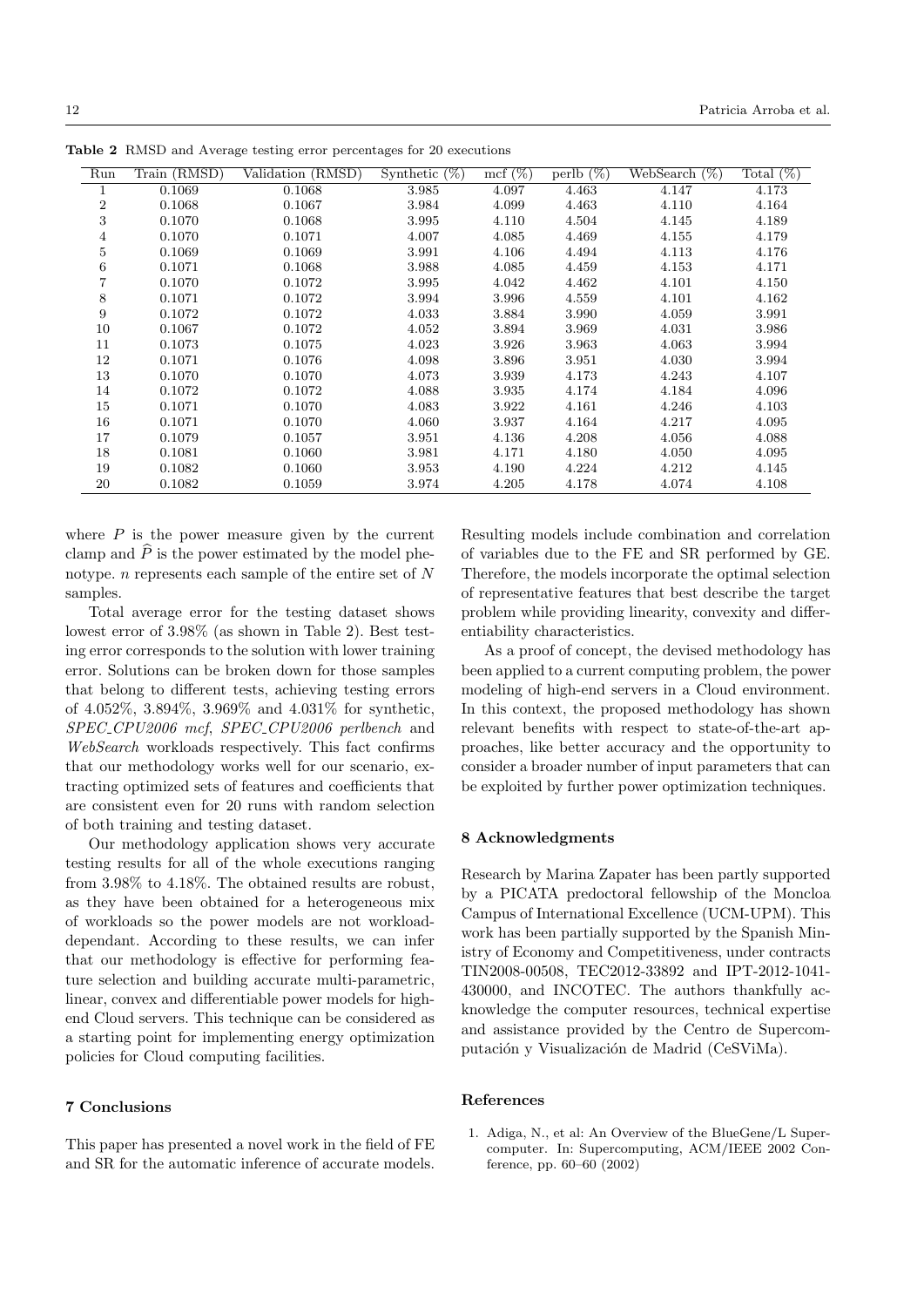| Run            | Train (RMSD) | Validation (RMSD) | Synthetic $(\%)$ | mcf $(\%)$ | $(\%)$<br>perlb | (%)<br>WebSearch | Total $(\%)$ |
|----------------|--------------|-------------------|------------------|------------|-----------------|------------------|--------------|
|                | 0.1069       | 0.1068            | 3.985            | 4.097      | 4.463           | 4.147            | 4.173        |
| $\overline{2}$ | 0.1068       | 0.1067            | 3.984            | 4.099      | 4.463           | 4.110            | 4.164        |
| 3              | 0.1070       | 0.1068            | 3.995            | 4.110      | 4.504           | 4.145            | 4.189        |
| 4              | 0.1070       | 0.1071            | 4.007            | 4.085      | 4.469           | 4.155            | 4.179        |
| 5              | 0.1069       | 0.1069            | 3.991            | 4.106      | 4.494           | 4.113            | 4.176        |
| 6              | 0.1071       | 0.1068            | 3.988            | 4.085      | 4.459           | 4.153            | 4.171        |
| $\overline{7}$ | 0.1070       | 0.1072            | 3.995            | 4.042      | 4.462           | 4.101            | 4.150        |
| 8              | 0.1071       | 0.1072            | 3.994            | 3.996      | 4.559           | 4.101            | 4.162        |
| 9              | 0.1072       | 0.1072            | 4.033            | 3.884      | 3.990           | 4.059            | 3.991        |
| 10             | 0.1067       | 0.1072            | 4.052            | 3.894      | 3.969           | 4.031            | 3.986        |
| 11             | 0.1073       | 0.1075            | 4.023            | 3.926      | 3.963           | 4.063            | 3.994        |
| 12             | 0.1071       | 0.1076            | 4.098            | 3.896      | 3.951           | 4.030            | 3.994        |
| 13             | 0.1070       | 0.1070            | 4.073            | 3.939      | 4.173           | 4.243            | 4.107        |
| 14             | 0.1072       | 0.1072            | 4.088            | 3.935      | 4.174           | 4.184            | 4.096        |
| 15             | 0.1071       | 0.1070            | 4.083            | 3.922      | 4.161           | 4.246            | 4.103        |
| 16             | 0.1071       | 0.1070            | 4.060            | 3.937      | 4.164           | 4.217            | 4.095        |
| 17             | 0.1079       | 0.1057            | 3.951            | 4.136      | 4.208           | 4.056            | 4.088        |
| 18             | 0.1081       | 0.1060            | 3.981            | 4.171      | 4.180           | 4.050            | 4.095        |
| 19             | 0.1082       | 0.1060            | 3.953            | 4.190      | 4.224           | 4.212            | 4.145        |
| 20             | 0.1082       | 0.1059            | 3.974            | 4.205      | 4.178           | 4.074            | 4.108        |

Table 2 RMSD and Average testing error percentages for 20 executions

where  $P$  is the power measure given by the current clamp and  $\hat{P}$  is the power estimated by the model phenotype.  $n$  represents each sample of the entire set of  $N$ samples.

Total average error for the testing dataset shows lowest error of 3.98% (as shown in Table 2). Best testing error corresponds to the solution with lower training error. Solutions can be broken down for those samples that belong to different tests, achieving testing errors of 4.052%, 3.894%, 3.969% and 4.031% for synthetic, SPEC CPU2006 mcf, SPEC CPU2006 perlbench and WebSearch workloads respectively. This fact confirms that our methodology works well for our scenario, extracting optimized sets of features and coefficients that are consistent even for 20 runs with random selection of both training and testing dataset.

Our methodology application shows very accurate testing results for all of the whole executions ranging from 3.98% to 4.18%. The obtained results are robust, as they have been obtained for a heterogeneous mix of workloads so the power models are not workloaddependant. According to these results, we can infer that our methodology is effective for performing feature selection and building accurate multi-parametric, linear, convex and differentiable power models for highend Cloud servers. This technique can be considered as a starting point for implementing energy optimization policies for Cloud computing facilities.

## 7 Conclusions

This paper has presented a novel work in the field of FE and SR for the automatic inference of accurate models.

Resulting models include combination and correlation of variables due to the FE and SR performed by GE. Therefore, the models incorporate the optimal selection of representative features that best describe the target problem while providing linearity, convexity and differentiability characteristics.

As a proof of concept, the devised methodology has been applied to a current computing problem, the power modeling of high-end servers in a Cloud environment. In this context, the proposed methodology has shown relevant benefits with respect to state-of-the-art approaches, like better accuracy and the opportunity to consider a broader number of input parameters that can be exploited by further power optimization techniques.

#### 8 Acknowledgments

Research by Marina Zapater has been partly supported by a PICATA predoctoral fellowship of the Moncloa Campus of International Excellence (UCM-UPM). This work has been partially supported by the Spanish Ministry of Economy and Competitiveness, under contracts TIN2008-00508, TEC2012-33892 and IPT-2012-1041- 430000, and INCOTEC. The authors thankfully acknowledge the computer resources, technical expertise and assistance provided by the Centro de Supercomputación y Visualización de Madrid (CeSViMa).

# References

1. Adiga, N., et al: An Overview of the BlueGene/L Supercomputer. In: Supercomputing, ACM/IEEE 2002 Conference, pp. 60–60 (2002)